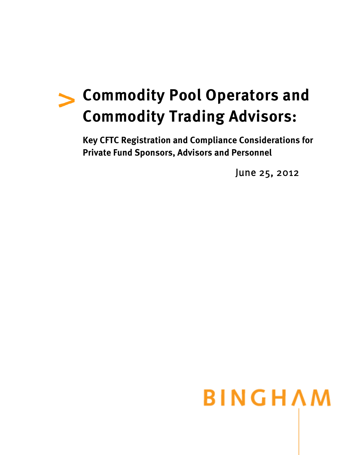## **Commodity Pool Operators and Commodity Trading Advisors:**

**Key CFTC Registration and Compliance Considerations for Private Fund Sponsors, Advisors and Personnel** 

June 25, 2012

# **BINGHAM**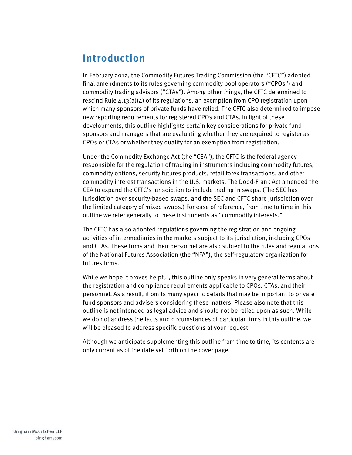## **Introduction**

In February 2012, the Commodity Futures Trading Commission (the "CFTC") adopted final amendments to its rules governing commodity pool operators ("CPOs") and commodity trading advisors ("CTAs"). Among other things, the CFTC determined to rescind Rule  $4.13(a)(4)$  of its regulations, an exemption from CPO registration upon which many sponsors of private funds have relied. The CFTC also determined to impose new reporting requirements for registered CPOs and CTAs. In light of these developments, this outline highlights certain key considerations for private fund sponsors and managers that are evaluating whether they are required to register as CPOs or CTAs or whether they qualify for an exemption from registration.

Under the Commodity Exchange Act (the "CEA"), the CFTC is the federal agency responsible for the regulation of trading in instruments including commodity futures, commodity options, security futures products, retail forex transactions, and other commodity interest transactions in the U.S. markets. The Dodd-Frank Act amended the CEA to expand the CFTC's jurisdiction to include trading in swaps. (The SEC has jurisdiction over security-based swaps, and the SEC and CFTC share jurisdiction over the limited category of mixed swaps.) For ease of reference, from time to time in this outline we refer generally to these instruments as "commodity interests."

The CFTC has also adopted regulations governing the registration and ongoing activities of intermediaries in the markets subject to its jurisdiction, including CPOs and CTAs. These firms and their personnel are also subject to the rules and regulations of the National Futures Association (the "NFA"), the self-regulatory organization for futures firms.

While we hope it proves helpful, this outline only speaks in very general terms about the registration and compliance requirements applicable to CPOs, CTAs, and their personnel. As a result, it omits many specific details that may be important to private fund sponsors and advisers considering these matters. Please also note that this outline is not intended as legal advice and should not be relied upon as such. While we do not address the facts and circumstances of particular firms in this outline, we will be pleased to address specific questions at your request.

Although we anticipate supplementing this outline from time to time, its contents are only current as of the date set forth on the cover page.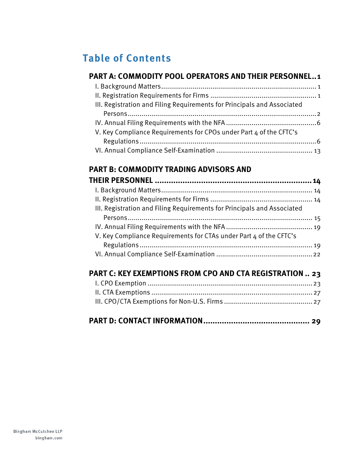## **Table of Contents**

#### **PART A: COMMODITY POOL OPERATORS AND THEIR PERSONNEL..1**

| III. Registration and Filing Requirements for Principals and Associated |  |
|-------------------------------------------------------------------------|--|
|                                                                         |  |
|                                                                         |  |
| V. Key Compliance Requirements for CPOs under Part 4 of the CFTC's      |  |
|                                                                         |  |
|                                                                         |  |

### **PART B: COMMODITY TRADING ADVISORS AND**

| III. Registration and Filing Requirements for Principals and Associated |  |
|-------------------------------------------------------------------------|--|
|                                                                         |  |
|                                                                         |  |
| V. Key Compliance Requirements for CTAs under Part 4 of the CFTC's      |  |
|                                                                         |  |
|                                                                         |  |
|                                                                         |  |

## **PART C: KEY EXEMPTIONS FROM CPO AND CTA REGISTRATION .. 23**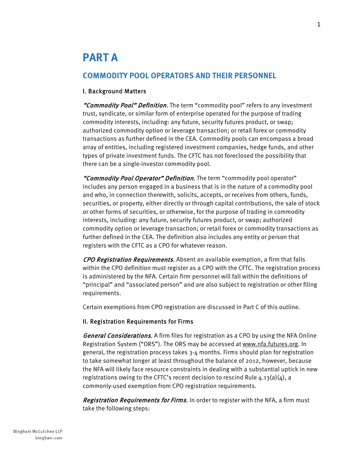## **PART A**

#### **COMMODITY POOL OPERATORS AND THEIR PERSONNEL**

#### I. Background Matters

"Commodity Pool" Definition. The term "commodity pool" refers to any investment trust, syndicate, or similar form of enterprise operated for the purpose of trading commodity interests, including: any future, security futures product, or swap; authorized commodity option or leverage transaction; or retail forex or commodity transactions as further defined in the CEA. Commodity pools can encompass a broad array of entities, including registered investment companies, hedge funds, and other types of private investment funds. The CFTC has not foreclosed the possibility that there can be a single-investor commodity pool.

"Commodity Pool Operator" Definition. The term "commodity pool operator" includes any person engaged in a business that is in the nature of a commodity pool and who, in connection therewith, solicits, accepts, or receives from others, funds, securities, or property, either directly or through capital contributions, the sale of stock or other forms of securities, or otherwise, for the purpose of trading in commodity interests, including: any future, security futures product, or swap; authorized commodity option or leverage transaction; or retail forex or commodity transactions as further defined in the CEA. The definition also includes any entity or person that registers with the CFTC as a CPO for whatever reason.

CPO Registration Requirements. Absent an available exemption, a firm that falls within the CPO definition must register as a CPO with the CFTC. The registration process is administered by the NFA. Certain firm personnel will fall within the definitions of "principal" and "associated person" and are also subject to registration or other filing requirements.

Certain exemptions from CPO registration are discussed in Part C of this outline.

#### II. Registration Requirements for Firms

General Considerations. A firm files for registration as a CPO by using the NFA Online Registration System ("ORS"). The ORS may be accessed at www.nfa.futures.org. In general, the registration process takes 3-4 months. Firms should plan for registration to take somewhat longer at least throughout the balance of 2012, however, because the NFA will likely face resource constraints in dealing with a substantial uptick in new registrations owing to the CFTC's recent decision to rescind Rule  $4.13(a)(4)$ , a commonly-used exemption from CPO registration requirements.

Registration Requirements for Firms. In order to register with the NFA, a firm must take the following steps: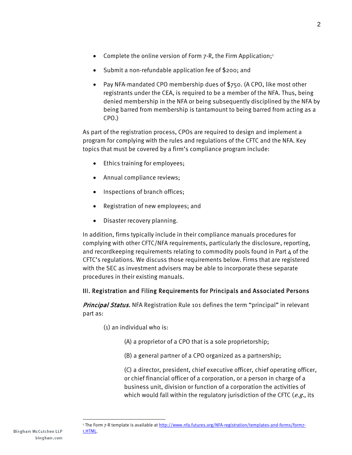- Submit a non-refundable application fee of \$200; and
- Pay NFA-mandated CPO membership dues of \$750. (A CPO, like most other registrants under the CEA, is required to be a member of the NFA. Thus, being denied membership in the NFA or being subsequently disciplined by the NFA by being barred from membership is tantamount to being barred from acting as a CPO.)

As part of the registration process, CPOs are required to design and implement a program for complying with the rules and regulations of the CFTC and the NFA. Key topics that must be covered by a firm's compliance program include:

- Ethics training for employees;
- Annual compliance reviews;
- Inspections of branch offices;
- Registration of new employees; and
- Disaster recovery planning.

In addition, firms typically include in their compliance manuals procedures for complying with other CFTC/NFA requirements, particularly the disclosure, reporting, and recordkeeping requirements relating to commodity pools found in Part 4 of the CFTC's regulations. We discuss those requirements below. Firms that are registered with the SEC as investment advisers may be able to incorporate these separate procedures in their existing manuals.

#### III. Registration and Filing Requirements for Principals and Associated Persons

**Principal Status.** NFA Registration Rule 101 defines the term "principal" in relevant part as:

- (1) an individual who is:
	- (A) a proprietor of a CPO that is a sole proprietorship;
	- (B) a general partner of a CPO organized as a partnership;

(C) a director, president, chief executive officer, chief operating officer, or chief financial officer of a corporation, or a person in charge of a business unit, division or function of a corporation the activities of which would fall within the regulatory jurisdiction of the CFTC ( $e.g.,$  its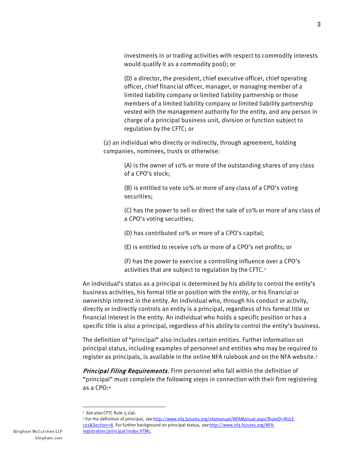investments in or trading activities with respect to commodity interests would qualify it as a commodity pool); or

(D) a director, the president, chief executive officer, chief operating officer, chief financial officer, manager, or managing member of a limited liability company or limited liability partnership or those members of a limited liability company or limited liability partnership vested with the management authority for the entity, and any person in charge of a principal business unit, division or function subject to regulation by the CFTC; or

(2) an individual who directly or indirectly, through agreement, holding companies, nominees, trusts or otherwise:

> (A) is the owner of 10% or more of the outstanding shares of any class of a CPO's stock;

(B) is entitled to vote 10% or more of any class of a CPO's voting securities;

(C) has the power to sell or direct the sale of 10% or more of any class of a CPO's voting securities;

(D) has contributed 10% or more of a CPO's capital;

(E) is entitled to receive 10% or more of a CPO's net profits; or

(F) has the power to exercise a controlling influence over a CPO's activities that are subject to regulation by the CFTC.<sup>2</sup>

An individual's status as a principal is determined by his ability to control the entity's business activities, his formal title or position with the entity, or his financial or ownership interest in the entity. An individual who, through his conduct or activity, directly or indirectly controls an entity is a principal, regardless of his formal title or financial interest in the entity. An individual who holds a specific position or has a specific title is also a principal, regardless of his ability to control the entity's business.

The definition of "principal" also includes certain entities. Further information on principal status, including examples of personnel and entities who may be required to register as principals, is available in the online NFA rulebook and on the NFA website.3

Principal Filing Requirements. Firm personnel who fall within the definition of "principal" must complete the following steps in connection with their firm registering as a CPO:4

<sup>&</sup>lt;sup>2</sup> See also CFTC Rule 3.1(a).

<sup>&</sup>lt;sup>3</sup> For the definition of principal, see http://www.nfa.futures.org/nfamanual/NFAManual.aspx?RuleID=RULE 101&Section=8. For further background on principal status, see http://www.nfa.futures.org/NFAregistration/principal/index.HTML.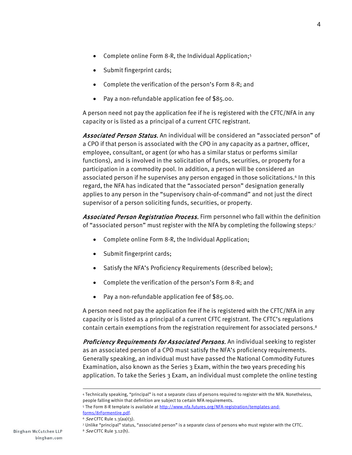- Complete online Form 8-R, the Individual Application;<sup>5</sup>
- Submit fingerprint cards;
- Complete the verification of the person's Form 8-R; and
- Pay a non-refundable application fee of \$85.00.

A person need not pay the application fee if he is registered with the CFTC/NFA in any capacity or is listed as a principal of a current CFTC registrant.

Associated Person Status. An individual will be considered an "associated person" of a CPO if that person is associated with the CPO in any capacity as a partner, officer, employee, consultant, or agent (or who has a similar status or performs similar functions), and is involved in the solicitation of funds, securities, or property for a participation in a commodity pool. In addition, a person will be considered an associated person if he supervises any person engaged in those solicitations.6 In this regard, the NFA has indicated that the "associated person" designation generally applies to any person in the "supervisory chain-of-command" and not just the direct supervisor of a person soliciting funds, securities, or property.

Associated Person Registration Process. Firm personnel who fall within the definition of "associated person" must register with the NFA by completing the following steps:7

- Complete online Form 8-R, the Individual Application;
- Submit fingerprint cards;
- Satisfy the NFA's Proficiency Requirements (described below);
- Complete the verification of the person's Form 8-R; and
- Pay a non-refundable application fee of \$85.00.

A person need not pay the application fee if he is registered with the CFTC/NFA in any capacity or is listed as a principal of a current CFTC registrant. The CFTC's regulations contain certain exemptions from the registration requirement for associated persons.8

Proficiency Requirements for Associated Persons. An individual seeking to register as an associated person of a CPO must satisfy the NFA's proficiency requirements. Generally speaking, an individual must have passed the National Commodity Futures Examination, also known as the Series 3 Exam, within the two years preceding his application. To take the Series 3 Exam, an individual must complete the online testing

<sup>4</sup> Technically speaking, "principal" is not a separate class of persons required to register with the NFA. Nonetheless, people falling within that definition are subject to certain NFA requirements.

<sup>5</sup> The Form 8-R template is available at http://www.nfa.futures.org/NFA-registration/templates-andforms/8rFormentire.pdf.

 $6$  See CFTC Rule 1.3(aa)(3).

<sup>7</sup> Unlike "principal" status, "associated person" is a separate class of persons who must register with the CFTC.

<sup>8</sup> See CFTC Rule 3.12(h).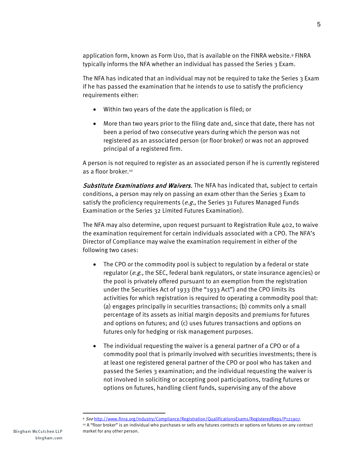application form, known as Form U10, that is available on the FINRA website.9 FINRA typically informs the NFA whether an individual has passed the Series 3 Exam.

The NFA has indicated that an individual may not be required to take the Series 3 Exam if he has passed the examination that he intends to use to satisfy the proficiency requirements either:

- Within two years of the date the application is filed; or
- More than two years prior to the filing date and, since that date, there has not been a period of two consecutive years during which the person was not registered as an associated person (or floor broker) or was not an approved principal of a registered firm.

A person is not required to register as an associated person if he is currently registered as a floor broker.<sup>10</sup>

Substitute Examinations and Waivers. The NFA has indicated that, subject to certain conditions, a person may rely on passing an exam other than the Series 3 Exam to satisfy the proficiency requirements ( $e.g.,$  the Series 31 Futures Managed Funds Examination or the Series 32 Limited Futures Examination).

The NFA may also determine, upon request pursuant to Registration Rule 402, to waive the examination requirement for certain individuals associated with a CPO. The NFA's Director of Compliance may waive the examination requirement in either of the following two cases:

- The CPO or the commodity pool is subject to regulation by a federal or state regulator (e.g., the SEC, federal bank regulators, or state insurance agencies) or the pool is privately offered pursuant to an exemption from the registration under the Securities Act of 1933 (the "1933 Act") and the CPO limits its activities for which registration is required to operating a commodity pool that: (a) engages principally in securities transactions; (b) commits only a small percentage of its assets as initial margin deposits and premiums for futures and options on futures; and (c) uses futures transactions and options on futures only for hedging or risk management purposes.
- The individual requesting the waiver is a general partner of a CPO or of a commodity pool that is primarily involved with securities investments; there is at least one registered general partner of the CPO or pool who has taken and passed the Series 3 examination; and the individual requesting the waiver is not involved in soliciting or accepting pool participations, trading futures or options on futures, handling client funds, supervising any of the above

 $\overline{a}$ 

<sup>9</sup> See http://www.finra.org/Industry/Compliance/Registration/QualificationsExams/RegisteredReps/P121907.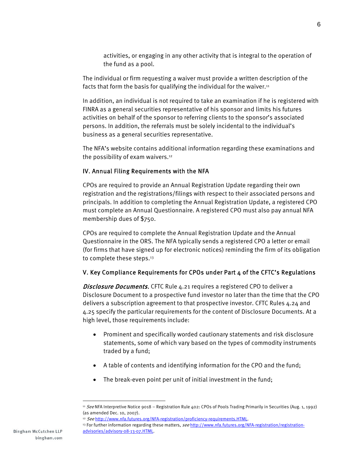activities, or engaging in any other activity that is integral to the operation of the fund as a pool.

The individual or firm requesting a waiver must provide a written description of the facts that form the basis for qualifying the individual for the waiver.<sup>11</sup>

In addition, an individual is not required to take an examination if he is registered with FINRA as a general securities representative of his sponsor and limits his futures activities on behalf of the sponsor to referring clients to the sponsor's associated persons. In addition, the referrals must be solely incidental to the individual's business as a general securities representative.

The NFA's website contains additional information regarding these examinations and the possibility of exam waivers.12

#### IV. Annual Filing Requirements with the NFA

CPOs are required to provide an Annual Registration Update regarding their own registration and the registrations/filings with respect to their associated persons and principals. In addition to completing the Annual Registration Update, a registered CPO must complete an Annual Questionnaire. A registered CPO must also pay annual NFA membership dues of \$750.

CPOs are required to complete the Annual Registration Update and the Annual Questionnaire in the ORS. The NFA typically sends a registered CPO a letter or email (for firms that have signed up for electronic notices) reminding the firm of its obligation to complete these steps.<sup>13</sup>

#### V. Key Compliance Requirements for CPOs under Part 4 of the CFTC's Regulations

Disclosure Documents. CFTC Rule 4.21 requires a registered CPO to deliver a Disclosure Document to a prospective fund investor no later than the time that the CPO delivers a subscription agreement to that prospective investor. CFTC Rules 4.24 and 4.25 specify the particular requirements for the content of Disclosure Documents. At a high level, those requirements include:

- Prominent and specifically worded cautionary statements and risk disclosure statements, some of which vary based on the types of commodity instruments traded by a fund;
- A table of contents and identifying information for the CPO and the fund;
- The break-even point per unit of initial investment in the fund;

<sup>&</sup>lt;sup>11</sup> See NFA Interpretive Notice 9018 – Registration Rule 402: CPOs of Pools Trading Primarily in Securities (Aug. 1, 1992) (as amended Dec. 10, 2007).

<sup>12</sup> See http://www.nfa.futures.org/NFA-registration/proficiency-requirements.HTML.

<sup>13</sup> For further information regarding these matters, see http://www.nfa.futures.org/NFA-registration/registrationadvisories/advisory-08-13-07.HTML.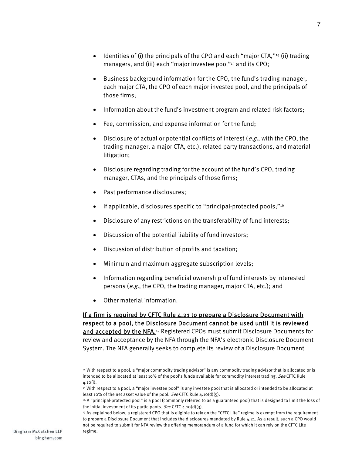- Identities of (i) the principals of the CPO and each "major CTA,"<sup>14</sup> (ii) trading managers, and (iii) each "major investee pool"<sup>15</sup> and its CPO;
- Business background information for the CPO, the fund's trading manager, each major CTA, the CPO of each major investee pool, and the principals of those firms;
- Information about the fund's investment program and related risk factors;
- Fee, commission, and expense information for the fund;
- Disclosure of actual or potential conflicts of interest ( $e.g.,$  with the CPO, the trading manager, a major CTA, etc.), related party transactions, and material litigation;
- Disclosure regarding trading for the account of the fund's CPO, trading manager, CTAs, and the principals of those firms;
- Past performance disclosures;
- If applicable, disclosures specific to "principal-protected pools;"<sup>16</sup>
- Disclosure of any restrictions on the transferability of fund interests;
- Discussion of the potential liability of fund investors;
- Discussion of distribution of profits and taxation;
- Minimum and maximum aggregate subscription levels;
- Information regarding beneficial ownership of fund interests by interested persons (e.g., the CPO, the trading manager, major CTA, etc.); and
- Other material information.

If a firm is required by CFTC Rule 4.21 to prepare a Disclosure Document with respect to a pool, the Disclosure Document cannot be used until it is reviewed and accepted by the NFA.<sup>17</sup> Registered CPOs must submit Disclosure Documents for review and acceptance by the NFA through the NFA's electronic Disclosure Document System. The NFA generally seeks to complete its review of a Disclosure Document

 $\overline{a}$ 

<sup>14</sup> With respect to a pool, a "major commodity trading advisor" is any commodity trading advisor that is allocated or is intended to be allocated at least 10% of the pool's funds available for commodity interest trading. See CFTC Rule  $4.10(i)$ .

<sup>15</sup> With respect to a pool, a "major investee pool" is any investee pool that is allocated or intended to be allocated at least 10% of the net asset value of the pool. See CFTC Rule  $4.10(d)(5)$ .

<sup>16</sup> A "principal-protected pool" is a pool (commonly referred to as a guaranteed pool) that is designed to limit the loss of the initial investment of its participants. See CFTC  $4.10(d)(3)$ .

<sup>17</sup> As explained below, a registered CPO that is eligible to rely on the "CFTC Lite" regime is exempt from the requirement to prepare a Disclosure Document that includes the disclosures mandated by Rule 4.21. As a result, such a CPO would not be required to submit for NFA review the offering memorandum of a fund for which it can rely on the CFTC Lite regime.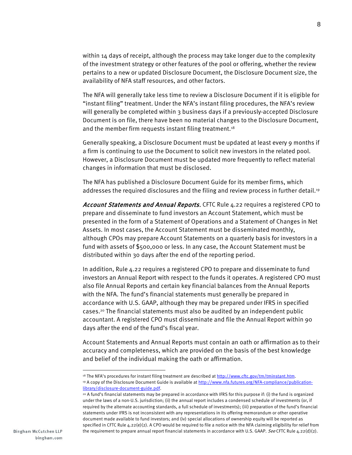within  $14$  days of receipt, although the process may take longer due to the complexity of the investment strategy or other features of the pool or offering, whether the review pertains to a new or updated Disclosure Document, the Disclosure Document size, the availability of NFA staff resources, and other factors.

The NFA will generally take less time to review a Disclosure Document if it is eligible for "instant filing" treatment. Under the NFA's instant filing procedures, the NFA's review will generally be completed within 3 business days if a previously-accepted Disclosure Document is on file, there have been no material changes to the Disclosure Document, and the member firm requests instant filing treatment.<sup>18</sup>

Generally speaking, a Disclosure Document must be updated at least every 9 months if a firm is continuing to use the Document to solicit new investors in the related pool. However, a Disclosure Document must be updated more frequently to reflect material changes in information that must be disclosed.

The NFA has published a Disclosure Document Guide for its member firms, which addresses the required disclosures and the filing and review process in further detail.<sup>19</sup>

Account Statements and Annual Reports. CFTC Rule 4.22 requires a registered CPO to prepare and disseminate to fund investors an Account Statement, which must be presented in the form of a Statement of Operations and a Statement of Changes in Net Assets. In most cases, the Account Statement must be disseminated monthly, although CPOs may prepare Account Statements on a quarterly basis for investors in a fund with assets of \$500,000 or less. In any case, the Account Statement must be distributed within 30 days after the end of the reporting period.

In addition, Rule 4.22 requires a registered CPO to prepare and disseminate to fund investors an Annual Report with respect to the funds it operates. A registered CPO must also file Annual Reports and certain key financial balances from the Annual Reports with the NFA. The fund's financial statements must generally be prepared in accordance with U.S. GAAP, although they may be prepared under IFRS in specified cases.20 The financial statements must also be audited by an independent public accountant. A registered CPO must disseminate and file the Annual Report within 90 days after the end of the fund's fiscal year.

Account Statements and Annual Reports must contain an oath or affirmation as to their accuracy and completeness, which are provided on the basis of the best knowledge and belief of the individual making the oath or affirmation.

<sup>&</sup>lt;sup>18</sup> The NFA's procedures for instant filing treatment are described at http://www.cftc.gov/tm/tminstant.htm.

<sup>&</sup>lt;sup>19</sup> A copy of the Disclosure Document Guide is available at http://www.nfa.futures.org/NFA-compliance/publicationlibrary/disclosure-document-guide.pdf.

<sup>20</sup> A fund's financial statements may be prepared in accordance with IFRS for this purpose if: (i) the fund is organized under the laws of a non-U.S. jurisdiction; (ii) the annual report includes a condensed schedule of investments (or, if required by the alternate accounting standards, a full schedule of investments); (iii) preparation of the fund's financial statements under IFRS is not inconsistent with any representations in its offering memorandum or other operative document made available to fund investors; and (iv) special allocations of ownership equity will be reported as specified in CFTC Rule  $4.22(e)(2)$ . A CPO would be required to file a notice with the NFA claiming eligibility for relief from the requirement to prepare annual report financial statements in accordance with U.S. GAAP. See CFTC Rule 4.22(d)(2).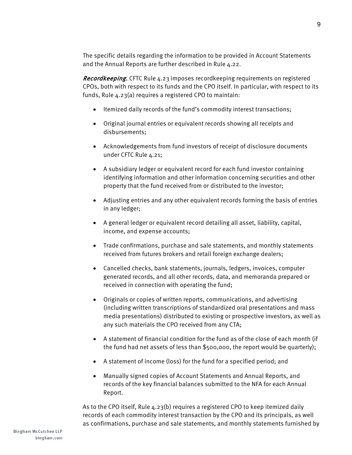The specific details regarding the information to be provided in Account Statements and the Annual Reports are further described in Rule 4.22.

**Recordkeeping.** CFTC Rule 4.23 imposes recordkeeping requirements on registered CPOs, both with respect to its funds and the CPO itself. In particular, with respect to its funds, Rule 4.23(a) requires a registered CPO to maintain:

- Itemized daily records of the fund's commodity interest transactions;
- Original journal entries or equivalent records showing all receipts and disbursements;
- Acknowledgements from fund investors of receipt of disclosure documents under CFTC Rule 4.21;
- A subsidiary ledger or equivalent record for each fund investor containing identifying information and other information concerning securities and other property that the fund received from or distributed to the investor;
- Adjusting entries and any other equivalent records forming the basis of entries in any ledger;
- A general ledger or equivalent record detailing all asset, liability, capital, income, and expense accounts;
- Trade confirmations, purchase and sale statements, and monthly statements received from futures brokers and retail foreign exchange dealers;
- Cancelled checks, bank statements, journals, ledgers, invoices, computer generated records, and all other records, data, and memoranda prepared or received in connection with operating the fund;
- Originals or copies of written reports, communications, and advertising (including written transcriptions of standardized oral presentations and mass media presentations) distributed to existing or prospective investors, as well as any such materials the CPO received from any CTA;
- A statement of financial condition for the fund as of the close of each month (if the fund had net assets of less than \$500,000, the report would be quarterly);
- A statement of income (loss) for the fund for a specified period; and
- Manually signed copies of Account Statements and Annual Reports, and records of the key financial balances submitted to the NFA for each Annual Report.

As to the CPO itself, Rule 4.23(b) requires a registered CPO to keep itemized daily records of each commodity interest transaction by the CPO and its principals, as well as confirmations, purchase and sale statements, and monthly statements furnished by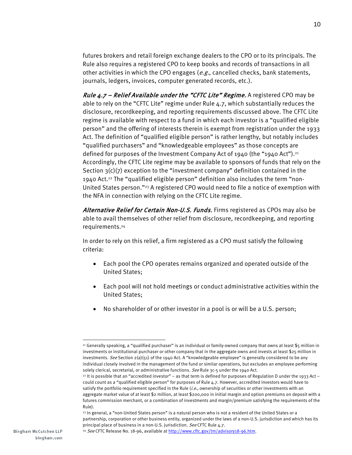futures brokers and retail foreign exchange dealers to the CPO or to its principals. The Rule also requires a registered CPO to keep books and records of transactions in all other activities in which the CPO engages  $(e.g.,$  cancelled checks, bank statements, journals, ledgers, invoices, computer generated records, etc.).

*Rule*  $4.7$  *– Relief Available under the "CFTC Lite" Regime.* A registered CPO may be able to rely on the "CFTC Lite" regime under Rule 4.7, which substantially reduces the disclosure, recordkeeping, and reporting requirements discussed above. The CFTC Lite regime is available with respect to a fund in which each investor is a "qualified eligible person" and the offering of interests therein is exempt from registration under the 1933 Act. The definition of "qualified eligible person" is rather lengthy, but notably includes "qualified purchasers" and "knowledgeable employees" as those concepts are defined for purposes of the Investment Company Act of 1940 (the "1940 Act").<sup>21</sup> Accordingly, the CFTC Lite regime may be available to sponsors of funds that rely on the Section  $3(c)(7)$  exception to the "investment company" definition contained in the 1940 Act.22 The "qualified eligible person" definition also includes the term "non-United States person."23 A registered CPO would need to file a notice of exemption with the NFA in connection with relying on the CFTC Lite regime.

Alternative Relief for Certain Non-U.S. Funds. Firms registered as CPOs may also be able to avail themselves of other relief from disclosure, recordkeeping, and reporting requirements.24

In order to rely on this relief, a firm registered as a CPO must satisfy the following criteria:

- Each pool the CPO operates remains organized and operated outside of the United States;
- Each pool will not hold meetings or conduct administrative activities within the United States;
- No shareholder of or other investor in a pool is or will be a U.S. person;

<sup>-</sup>21 Generally speaking, a "qualified purchaser" is an individual or family-owned company that owns at least \$5 million in investments or institutional purchaser or other company that in the aggregate owns and invests at least \$25 million in investments. See Section  $2(a)(51)$  of the 1940 Act. A "knowledgeable employee" is generally considered to be any individual closely involved in the management of the fund or similar operations, but excludes an employee performing solely clerical, secretarial, or administrative functions. See Rule 3c-5 under the 1940 Act.

<sup>22</sup> It is possible that an "accredited investor" – as that term is defined for purposes of Regulation D under the 1933 Act – could count as a "qualified eligible person" for purposes of Rule 4.7. However, accredited investors would have to satisfy the portfolio requirement specified in the Rule  $(i.e.,$  ownership of securities or other investments with an aggregate market value of at least \$2 million, at least \$200,000 in initial margin and option premiums on deposit with a futures commission merchant, or a combination of investments and margin/premium satisfying the requirements of the Rule).

<sup>&</sup>lt;sup>23</sup> In general, a "non-United States person" is a natural person who is not a resident of the United States or a partnership, corporation or other business entity, organized under the laws of a non-U.S. jurisdiction and which has its principal place of business in a non-U.S. jurisdiction. See CFTC Rule 4.7.

<sup>&</sup>lt;sup>24</sup> See CFTC Release No. 18-96, available at http://www.cftc.gov/tm/advisory18-96.htm.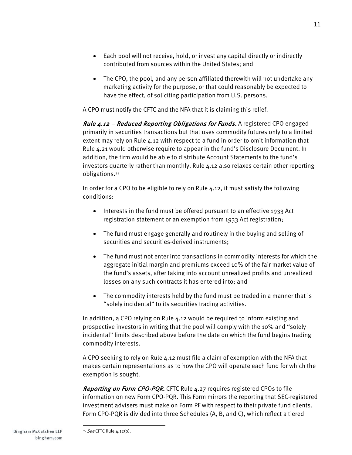- Each pool will not receive, hold, or invest any capital directly or indirectly contributed from sources within the United States; and
- The CPO, the pool, and any person affiliated therewith will not undertake any marketing activity for the purpose, or that could reasonably be expected to have the effect, of soliciting participation from U.S. persons.

A CPO must notify the CFTC and the NFA that it is claiming this relief.

*Rule 4.12 – Reduced Reporting Obligations for Funds.* A registered CPO engaged primarily in securities transactions but that uses commodity futures only to a limited extent may rely on Rule 4.12 with respect to a fund in order to omit information that Rule 4.21 would otherwise require to appear in the fund's Disclosure Document. In addition, the firm would be able to distribute Account Statements to the fund's investors quarterly rather than monthly. Rule 4.12 also relaxes certain other reporting obligations.25

In order for a CPO to be eligible to rely on Rule 4.12, it must satisfy the following conditions:

- Interests in the fund must be offered pursuant to an effective 1933 Act registration statement or an exemption from 1933 Act registration;
- The fund must engage generally and routinely in the buying and selling of securities and securities-derived instruments;
- The fund must not enter into transactions in commodity interests for which the aggregate initial margin and premiums exceed 10% of the fair market value of the fund's assets, after taking into account unrealized profits and unrealized losses on any such contracts it has entered into; and
- The commodity interests held by the fund must be traded in a manner that is "solely incidental" to its securities trading activities.

In addition, a CPO relying on Rule 4.12 would be required to inform existing and prospective investors in writing that the pool will comply with the 10% and "solely incidental" limits described above before the date on which the fund begins trading commodity interests.

A CPO seeking to rely on Rule 4.12 must file a claim of exemption with the NFA that makes certain representations as to how the CPO will operate each fund for which the exemption is sought.

Reporting on Form CPO-PQR. CFTC Rule 4.27 requires registered CPOs to file information on new Form CPO-PQR. This Form mirrors the reporting that SEC-registered investment advisers must make on Form PF with respect to their private fund clients. Form CPO-PQR is divided into three Schedules (A, B, and C), which reflect a tiered

<sup>25</sup> See CFTC Rule  $4.12(b)$ .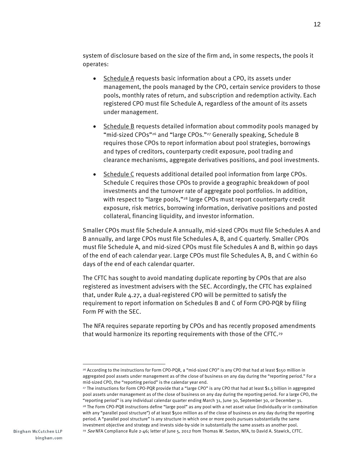system of disclosure based on the size of the firm and, in some respects, the pools it operates:

- Schedule A requests basic information about a CPO, its assets under management, the pools managed by the CPO, certain service providers to those pools, monthly rates of return, and subscription and redemption activity. Each registered CPO must file Schedule A, regardless of the amount of its assets under management.
- Schedule B requests detailed information about commodity pools managed by "mid-sized CPOs"26 and "large CPOs."27 Generally speaking, Schedule B requires those CPOs to report information about pool strategies, borrowings and types of creditors, counterparty credit exposure, pool trading and clearance mechanisms, aggregate derivatives positions, and pool investments.
- Schedule C requests additional detailed pool information from large CPOs. Schedule C requires those CPOs to provide a geographic breakdown of pool investments and the turnover rate of aggregate pool portfolios. In addition, with respect to "large pools,"<sup>28</sup> large CPOs must report counterparty credit exposure, risk metrics, borrowing information, derivative positions and posted collateral, financing liquidity, and investor information.

Smaller CPOs must file Schedule A annually, mid-sized CPOs must file Schedules A and B annually, and large CPOs must file Schedules A, B, and C quarterly. Smaller CPOs must file Schedule A, and mid-sized CPOs must file Schedules A and B, within 90 days of the end of each calendar year. Large CPOs must file Schedules A, B, and C within 60 days of the end of each calendar quarter.

The CFTC has sought to avoid mandating duplicate reporting by CPOs that are also registered as investment advisers with the SEC. Accordingly, the CFTC has explained that, under Rule 4.27, a dual-registered CPO will be permitted to satisfy the requirement to report information on Schedules B and C of Form CPO-PQR by filing Form PF with the SEC.

The NFA requires separate reporting by CPOs and has recently proposed amendments that would harmonize its reporting requirements with those of the CFTC.29

 $\overline{a}$ 

<sup>26</sup> According to the instructions for Form CPO-PQR, a "mid-sized CPO" is any CPO that had at least \$150 million in aggregated pool assets under management as of the close of business on any day during the "reporting period." For a mid-sized CPO, the "reporting period" is the calendar year end.

<sup>27</sup> The instructions for Form CPO-PQR provide that a "large CPO" is any CPO that had at least \$1.5 billion in aggregated pool assets under management as of the close of business on any day during the reporting period. For a large CPO, the "reporting period" is any individual calendar quarter ending March 31, June 30, September 30, or December 31. 28 The Form CPO-PQR instructions define "large pool" as any pool with a net asset value (individually or in combination with any "parallel pool structure") of at least \$500 million as of the close of business on any day during the reporting period. A "parallel pool structure" is any structure in which one or more pools pursues substantially the same investment objective and strategy and invests side-by-side in substantially the same assets as another pool. <sup>29</sup> See NFA Compliance Rule 2-46; letter of June 5, 2012 from Thomas W. Sexton, NFA, to David A. Stawick, CFTC.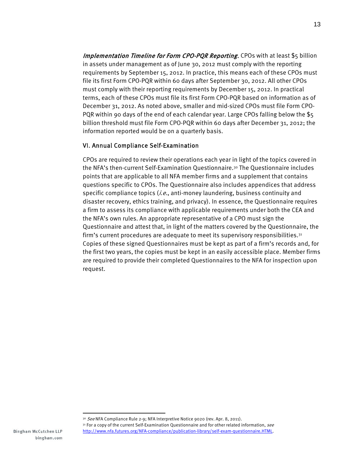Implementation Timeline for Form CPO-PQR Reporting. CPOs with at least \$5 billion in assets under management as of June 30, 2012 must comply with the reporting requirements by September 15, 2012. In practice, this means each of these CPOs must file its first Form CPO-PQR within 60 days after September 30, 2012. All other CPOs must comply with their reporting requirements by December 15, 2012. In practical terms, each of these CPOs must file its first Form CPO-PQR based on information as of December 31, 2012. As noted above, smaller and mid-sized CPOs must file Form CPO-PQR within 90 days of the end of each calendar year. Large CPOs falling below the \$5 billion threshold must file Form CPO-PQR within 60 days after December 31, 2012; the information reported would be on a quarterly basis.

#### VI. Annual Compliance Self-Examination

CPOs are required to review their operations each year in light of the topics covered in the NFA's then-current Self-Examination Questionnaire.30 The Questionnaire includes points that are applicable to all NFA member firms and a supplement that contains questions specific to CPOs. The Questionnaire also includes appendices that address specific compliance topics (*i.e.*, anti-money laundering, business continuity and disaster recovery, ethics training, and privacy). In essence, the Questionnaire requires a firm to assess its compliance with applicable requirements under both the CEA and the NFA's own rules. An appropriate representative of a CPO must sign the Questionnaire and attest that, in light of the matters covered by the Questionnaire, the firm's current procedures are adequate to meet its supervisory responsibilities.31 Copies of these signed Questionnaires must be kept as part of a firm's records and, for the first two years, the copies must be kept in an easily accessible place. Member firms are required to provide their completed Questionnaires to the NFA for inspection upon request.

 $\overline{a}$ 

<sup>30</sup> See NFA Compliance Rule 2-9; NFA Interpretive Notice 9020 (rev. Apr. 8, 2011).

<sup>31</sup> For a copy of the current Self-Examination Questionnaire and for other related information, see http://www.nfa.futures.org/NFA-compliance/publication-library/self-exam-questionnaire.HTML.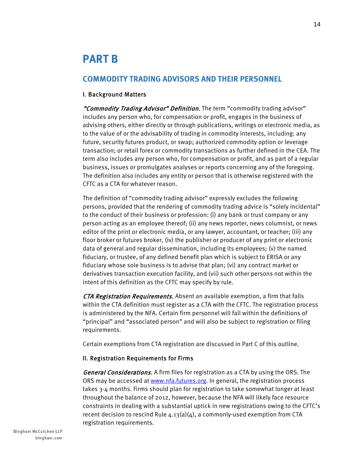## **PART B**

#### **COMMODITY TRADING ADVISORS AND THEIR PERSONNEL**

#### I. Background Matters

"Commodity Trading Advisor" Definition. The term "commodity trading advisor" includes any person who, for compensation or profit, engages in the business of advising others, either directly or through publications, writings or electronic media, as to the value of or the advisability of trading in commodity interests, including: any future, security futures product, or swap; authorized commodity option or leverage transaction; or retail forex or commodity transactions as further defined in the CEA. The term also includes any person who, for compensation or profit, and as part of a regular business, issues or promulgates analyses or reports concerning any of the foregoing. The definition also includes any entity or person that is otherwise registered with the CFTC as a CTA for whatever reason.

The definition of "commodity trading advisor" expressly excludes the following persons, provided that the rendering of commodity trading advice is "solely incidental" to the conduct of their business or profession: (i) any bank or trust company or any person acting as an employee thereof; (ii) any news reporter, news columnist, or news editor of the print or electronic media, or any lawyer, accountant, or teacher; (iii) any floor broker or futures broker, (iv) the publisher or producer of any print or electronic data of general and regular dissemination, including its employees; (v) the named fiduciary, or trustee, of any defined benefit plan which is subject to ERISA or any fiduciary whose sole business is to advise that plan; (vi) any contract market or derivatives transaction execution facility, and (vii) such other persons not within the intent of this definition as the CFTC may specify by rule.

CTA Registration Requirements. Absent an available exemption, a firm that falls within the CTA definition must register as a CTA with the CFTC. The registration process is administered by the NFA. Certain firm personnel will fall within the definitions of "principal" and "associated person" and will also be subject to registration or filing requirements.

Certain exemptions from CTA registration are discussed in Part C of this outline.

#### II. Registration Requirements for Firms

General Considerations. A firm files for registration as a CTA by using the ORS. The ORS may be accessed at www.nfa.futures.org. In general, the registration process takes 3-4 months. Firms should plan for registration to take somewhat longer at least throughout the balance of 2012, however, because the NFA will likely face resource constraints in dealing with a substantial uptick in new registrations owing to the CFTC's recent decision to rescind Rule  $4.13(a)(4)$ , a commonly-used exemption from CTA registration requirements.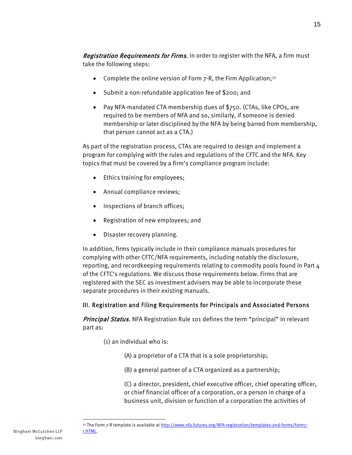Registration Requirements for Firms. In order to register with the NFA, a firm must take the following steps:

- Complete the online version of Form  $7-R$ , the Firm Application;<sup>32</sup>
- Submit a non-refundable application fee of \$200; and
- Pay NFA-mandated CTA membership dues of \$750. (CTAs, like CPOs, are required to be members of NFA and so, similarly, if someone is denied membership or later disciplined by the NFA by being barred from membership, that person cannot act as a CTA.)

As part of the registration process, CTAs are required to design and implement a program for complying with the rules and regulations of the CFTC and the NFA. Key topics that must be covered by a firm's compliance program include:

- Ethics training for employees;
- Annual compliance reviews;
- Inspections of branch offices;
- Registration of new employees; and
- Disaster recovery planning.

In addition, firms typically include in their compliance manuals procedures for complying with other CFTC/NFA requirements, including notably the disclosure, reporting, and recordkeeping requirements relating to commodity pools found in Part 4 of the CFTC's regulations. We discuss those requirements below. Firms that are registered with the SEC as investment advisers may be able to incorporate these separate procedures in their existing manuals.

#### III. Registration and Filing Requirements for Principals and Associated Persons

Principal Status. NFA Registration Rule 101 defines the term "principal" in relevant part as:

- (1) an individual who is:
	- (A) a proprietor of a CTA that is a sole proprietorship;
	- (B) a general partner of a CTA organized as a partnership;

(C) a director, president, chief executive officer, chief operating officer, or chief financial officer of a corporation, or a person in charge of a business unit, division or function of a corporation the activities of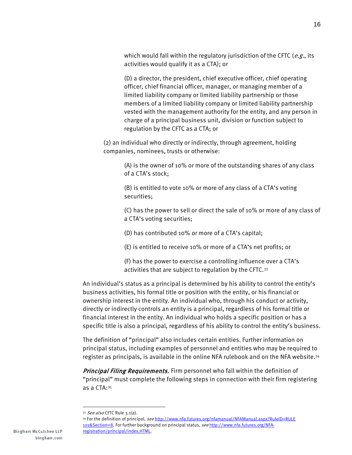which would fall within the regulatory jurisdiction of the CFTC ( $e.g.,$  its activities would qualify it as a CTA); or

(D) a director, the president, chief executive officer, chief operating officer, chief financial officer, manager, or managing member of a limited liability company or limited liability partnership or those members of a limited liability company or limited liability partnership vested with the management authority for the entity, and any person in charge of a principal business unit, division or function subject to regulation by the CFTC as a CTA; or

(2) an individual who directly or indirectly, through agreement, holding companies, nominees, trusts or otherwise:

> (A) is the owner of 10% or more of the outstanding shares of any class of a CTA's stock;

(B) is entitled to vote 10% or more of any class of a CTA's voting securities;

(C) has the power to sell or direct the sale of 10% or more of any class of a CTA's voting securities;

(D) has contributed 10% or more of a CTA's capital;

(E) is entitled to receive 10% or more of a CTA's net profits; or

(F) has the power to exercise a controlling influence over a CTA's activities that are subject to regulation by the CFTC.33

An individual's status as a principal is determined by his ability to control the entity's business activities, his formal title or position with the entity, or his financial or ownership interest in the entity. An individual who, through his conduct or activity, directly or indirectly controls an entity is a principal, regardless of his formal title or financial interest in the entity. An individual who holds a specific position or has a specific title is also a principal, regardless of his ability to control the entity's business.

The definition of "principal" also includes certain entities. Further information on principal status, including examples of personnel and entities who may be required to register as principals, is available in the online NFA rulebook and on the NFA website.34

Principal Filing Requirements. Firm personnel who fall within the definition of "principal" must complete the following steps in connection with their firm registering as a CTA:35

<sup>33</sup> See also CFTC Rule 3.1(a).

<sup>34</sup> For the definition of principal, see http://www.nfa.futures.org/nfamanual/NFAManual.aspx?RuleID=RULE 101&Section=8. For further background on principal status, see http://www.nfa.futures.org/NFAregistration/principal/index.HTML.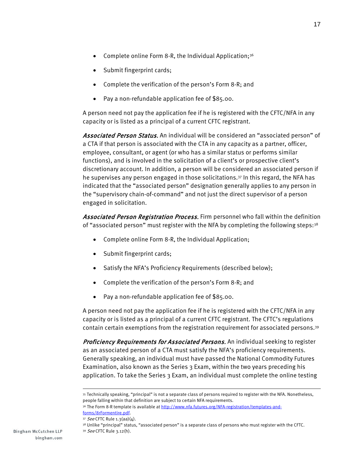- Complete online Form 8-R, the Individual Application;<sup>36</sup>
- Submit fingerprint cards;
- Complete the verification of the person's Form 8-R; and
- Pay a non-refundable application fee of \$85.00.

A person need not pay the application fee if he is registered with the CFTC/NFA in any capacity or is listed as a principal of a current CFTC registrant.

Associated Person Status. An individual will be considered an "associated person" of a CTA if that person is associated with the CTA in any capacity as a partner, officer, employee, consultant, or agent (or who has a similar status or performs similar functions), and is involved in the solicitation of a client's or prospective client's discretionary account. In addition, a person will be considered an associated person if he supervises any person engaged in those solicitations.37 In this regard, the NFA has indicated that the "associated person" designation generally applies to any person in the "supervisory chain-of-command" and not just the direct supervisor of a person engaged in solicitation.

Associated Person Registration Process. Firm personnel who fall within the definition of "associated person" must register with the NFA by completing the following steps:<sup>38</sup>

- Complete online Form 8-R, the Individual Application;
- Submit fingerprint cards;
- Satisfy the NFA's Proficiency Requirements (described below);
- Complete the verification of the person's Form 8-R; and
- Pay a non-refundable application fee of \$85.00.

A person need not pay the application fee if he is registered with the CFTC/NFA in any capacity or is listed as a principal of a current CFTC registrant. The CFTC's regulations contain certain exemptions from the registration requirement for associated persons.39

Proficiency Requirements for Associated Persons. An individual seeking to register as an associated person of a CTA must satisfy the NFA's proficiency requirements. Generally speaking, an individual must have passed the National Commodity Futures Examination, also known as the Series 3 Exam, within the two years preceding his application. To take the Series 3 Exam, an individual must complete the online testing

<sup>39</sup> See CFTC Rule 3.12(h).

<sup>35</sup> Technically speaking, "principal" is not a separate class of persons required to register with the NFA. Nonetheless, people falling within that definition are subject to certain NFA requirements.

<sup>36</sup> The Form 8-R template is available at http://www.nfa.futures.org/NFA-registration/templates-andforms/8rFormentire.pdf.

 $37$  See CFTC Rule 1.3(aa)( $\Delta$ ).

<sup>38</sup> Unlike "principal" status, "associated person" is a separate class of persons who must register with the CFTC.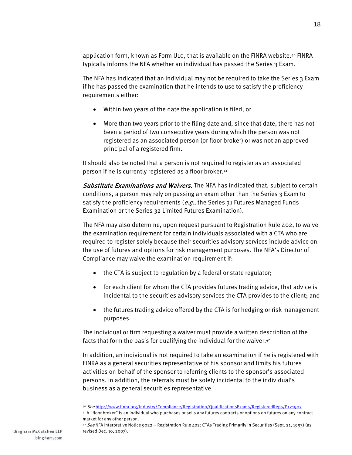application form, known as Form U10, that is available on the FINRA website.40 FINRA typically informs the NFA whether an individual has passed the Series 3 Exam.

The NFA has indicated that an individual may not be required to take the Series 3 Exam if he has passed the examination that he intends to use to satisfy the proficiency requirements either:

- Within two years of the date the application is filed; or
- More than two years prior to the filing date and, since that date, there has not been a period of two consecutive years during which the person was not registered as an associated person (or floor broker) or was not an approved principal of a registered firm.

It should also be noted that a person is not required to register as an associated person if he is currently registered as a floor broker.41

Substitute Examinations and Waivers. The NFA has indicated that, subject to certain conditions, a person may rely on passing an exam other than the Series 3 Exam to satisfy the proficiency requirements ( $e.g.,$  the Series 31 Futures Managed Funds Examination or the Series 32 Limited Futures Examination).

The NFA may also determine, upon request pursuant to Registration Rule 402, to waive the examination requirement for certain individuals associated with a CTA who are required to register solely because their securities advisory services include advice on the use of futures and options for risk management purposes. The NFA's Director of Compliance may waive the examination requirement if:

- the CTA is subject to regulation by a federal or state regulator;
- for each client for whom the CTA provides futures trading advice, that advice is incidental to the securities advisory services the CTA provides to the client; and
- the futures trading advice offered by the CTA is for hedging or risk management purposes.

The individual or firm requesting a waiver must provide a written description of the facts that form the basis for qualifying the individual for the waiver.42

In addition, an individual is not required to take an examination if he is registered with FINRA as a general securities representative of his sponsor and limits his futures activities on behalf of the sponsor to referring clients to the sponsor's associated persons. In addition, the referrals must be solely incidental to the individual's business as a general securities representative.

 $\overline{a}$ 

<sup>40</sup> See http://www.finra.org/Industry/Compliance/Registration/QualificationsExams/RegisteredReps/P121907.

<sup>41</sup> A "floor broker" is an individual who purchases or sells any futures contracts or options on futures on any contract market for any other person.

 $42$  See NFA Interpretive Notice 9022 – Registration Rule 402: CTAs Trading Primarily in Securities (Sept. 21, 1993) (as revised Dec. 10, 2007).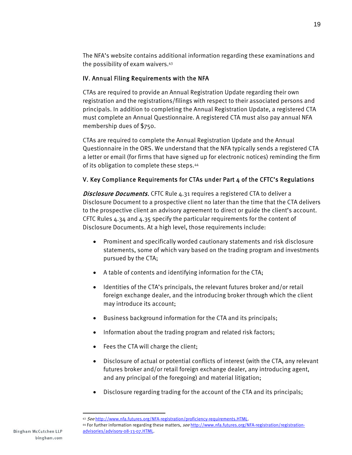The NFA's website contains additional information regarding these examinations and the possibility of exam waivers.43

#### IV. Annual Filing Requirements with the NFA

CTAs are required to provide an Annual Registration Update regarding their own registration and the registrations/filings with respect to their associated persons and principals. In addition to completing the Annual Registration Update, a registered CTA must complete an Annual Questionnaire. A registered CTA must also pay annual NFA membership dues of \$750.

CTAs are required to complete the Annual Registration Update and the Annual Questionnaire in the ORS. We understand that the NFA typically sends a registered CTA a letter or email (for firms that have signed up for electronic notices) reminding the firm of its obligation to complete these steps.44

#### V. Key Compliance Requirements for CTAs under Part 4 of the CFTC's Regulations

Disclosure Documents. CFTC Rule 4.31 requires a registered CTA to deliver a Disclosure Document to a prospective client no later than the time that the CTA delivers to the prospective client an advisory agreement to direct or guide the client's account. CFTC Rules 4.34 and 4.35 specify the particular requirements for the content of Disclosure Documents. At a high level, those requirements include:

- Prominent and specifically worded cautionary statements and risk disclosure statements, some of which vary based on the trading program and investments pursued by the CTA;
- A table of contents and identifying information for the CTA;
- Identities of the CTA's principals, the relevant futures broker and/or retail foreign exchange dealer, and the introducing broker through which the client may introduce its account;
- Business background information for the CTA and its principals;
- Information about the trading program and related risk factors;
- Fees the CTA will charge the client;
- Disclosure of actual or potential conflicts of interest (with the CTA, any relevant futures broker and/or retail foreign exchange dealer, any introducing agent, and any principal of the foregoing) and material litigation;
- Disclosure regarding trading for the account of the CTA and its principals;

<sup>43</sup> See http://www.nfa.futures.org/NFA-registration/proficiency-requirements.HTML.

<sup>44</sup> For further information regarding these matters, see http://www.nfa.futures.org/NFA-registration/registrationadvisories/advisory-08-13-07.HTML.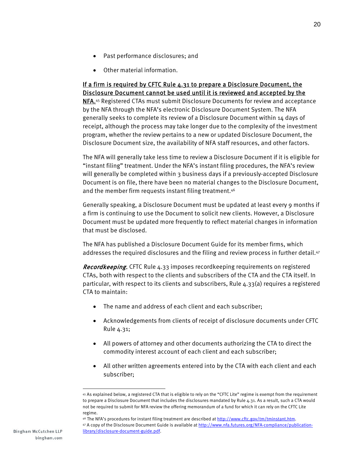- Past performance disclosures; and
- Other material information.

#### If a firm is required by CFTC Rule  $4.31$  to prepare a Disclosure Document, the Disclosure Document cannot be used until it is reviewed and accepted by the

NFA.<sup>45</sup> Registered CTAs must submit Disclosure Documents for review and acceptance by the NFA through the NFA's electronic Disclosure Document System. The NFA generally seeks to complete its review of a Disclosure Document within 14 days of receipt, although the process may take longer due to the complexity of the investment program, whether the review pertains to a new or updated Disclosure Document, the Disclosure Document size, the availability of NFA staff resources, and other factors.

The NFA will generally take less time to review a Disclosure Document if it is eligible for "instant filing" treatment. Under the NFA's instant filing procedures, the NFA's review will generally be completed within 3 business days if a previously-accepted Disclosure Document is on file, there have been no material changes to the Disclosure Document, and the member firm requests instant filing treatment.46

Generally speaking, a Disclosure Document must be updated at least every 9 months if a firm is continuing to use the Document to solicit new clients. However, a Disclosure Document must be updated more frequently to reflect material changes in information that must be disclosed.

The NFA has published a Disclosure Document Guide for its member firms, which addresses the required disclosures and the filing and review process in further detail.<sup>47</sup>

Recordkeeping. CFTC Rule 4.33 imposes recordkeeping requirements on registered CTAs, both with respect to the clients and subscribers of the CTA and the CTA itself. In particular, with respect to its clients and subscribers, Rule 4.33(a) requires a registered CTA to maintain:

- The name and address of each client and each subscriber;
- Acknowledgements from clients of receipt of disclosure documents under CFTC Rule 4.31;
- All powers of attorney and other documents authorizing the CTA to direct the commodity interest account of each client and each subscriber;
- All other written agreements entered into by the CTA with each client and each subscriber;

<sup>45</sup> As explained below, a registered CTA that is eligible to rely on the "CFTC Lite" regime is exempt from the requirement to prepare a Disclosure Document that includes the disclosures mandated by Rule 4.31. As a result, such a CTA would not be required to submit for NFA review the offering memorandum of a fund for which it can rely on the CFTC Lite regime.

<sup>46</sup> The NFA's procedures for instant filing treatment are described at http://www.cftc.gov/tm/tminstant.htm. 47 A copy of the Disclosure Document Guide is available at http://www.nfa.futures.org/NFA-compliance/publication-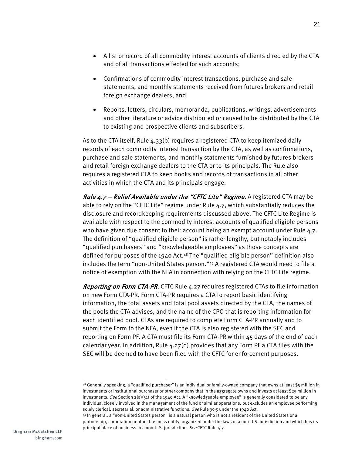- A list or record of all commodity interest accounts of clients directed by the CTA and of all transactions effected for such accounts;
- Confirmations of commodity interest transactions, purchase and sale statements, and monthly statements received from futures brokers and retail foreign exchange dealers; and
- Reports, letters, circulars, memoranda, publications, writings, advertisements and other literature or advice distributed or caused to be distributed by the CTA to existing and prospective clients and subscribers.

As to the CTA itself, Rule 4.33(b) requires a registered CTA to keep itemized daily records of each commodity interest transaction by the CTA, as well as confirmations, purchase and sale statements, and monthly statements furnished by futures brokers and retail foreign exchange dealers to the CTA or to its principals. The Rule also requires a registered CTA to keep books and records of transactions in all other activities in which the CTA and its principals engage.

*Rule*  $4.7$  *– Relief Available under the "CFTC Lite" Regime.* A registered CTA may be able to rely on the "CFTC Lite" regime under Rule 4.7, which substantially reduces the disclosure and recordkeeping requirements discussed above. The CFTC Lite Regime is available with respect to the commodity interest accounts of qualified eligible persons who have given due consent to their account being an exempt account under Rule 4.7. The definition of "qualified eligible person" is rather lengthy, but notably includes "qualified purchasers" and "knowledgeable employees" as those concepts are defined for purposes of the 1940 Act.<sup>48</sup> The "qualified eligible person" definition also includes the term "non-United States person."49 A registered CTA would need to file a notice of exemption with the NFA in connection with relying on the CFTC Lite regime.

Reporting on Form CTA-PR. CFTC Rule 4.27 requires registered CTAs to file information on new Form CTA-PR. Form CTA-PR requires a CTA to report basic identifying information, the total assets and total pool assets directed by the CTA, the names of the pools the CTA advises, and the name of the CPO that is reporting information for each identified pool. CTAs are required to complete Form CTA-PR annually and to submit the Form to the NFA, even if the CTA is also registered with the SEC and reporting on Form PF. A CTA must file its Form CTA-PR within 45 days of the end of each calendar year. In addition, Rule 4.27(d) provides that any Form PF a CTA files with the SEC will be deemed to have been filed with the CFTC for enforcement purposes.

<sup>48</sup> Generally speaking, a "qualified purchaser" is an individual or family-owned company that owns at least \$5 million in investments or institutional purchaser or other company that in the aggregate owns and invests at least \$25 million in investments. See Section  $2(a)(51)$  of the 1940 Act. A "knowledgeable employee" is generally considered to be any individual closely involved in the management of the fund or similar operations, but excludes an employee performing solely clerical, secretarial, or administrative functions. See Rule 3c-5 under the 1940 Act.

<sup>49</sup> In general, a "non-United States person" is a natural person who is not a resident of the United States or a partnership, corporation or other business entity, organized under the laws of a non-U.S. jurisdiction and which has its principal place of business in a non-U.S. jurisdiction. See CFTC Rule 4.7.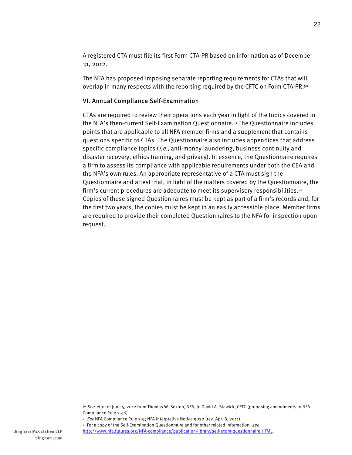A registered CTA must file its first Form CTA-PR based on information as of December 31, 2012.

The NFA has proposed imposing separate reporting requirements for CTAs that will overlap in many respects with the reporting required by the CFTC on Form CTA-PR.<sup>50</sup>

#### VI. Annual Compliance Self-Examination

CTAs are required to review their operations each year in light of the topics covered in the NFA's then-current Self-Examination Questionnaire.51 The Questionnaire includes points that are applicable to all NFA member firms and a supplement that contains questions specific to CTAs. The Questionnaire also includes appendices that address specific compliance topics  $(i.e.,$  anti-money laundering, business continuity and disaster recovery, ethics training, and privacy). In essence, the Questionnaire requires a firm to assess its compliance with applicable requirements under both the CEA and the NFA's own rules. An appropriate representative of a CTA must sign the Questionnaire and attest that, in light of the matters covered by the Questionnaire, the firm's current procedures are adequate to meet its supervisory responsibilities.52 Copies of these signed Questionnaires must be kept as part of a firm's records and, for the first two years, the copies must be kept in an easily accessible place. Member firms are required to provide their completed Questionnaires to the NFA for inspection upon request.

<sup>50</sup> See letter of June 5, 2012 from Thomas W. Sexton, NFA, to David A. Stawick, CFTC (proposing amendments to NFA Compliance Rule 2-46).

<sup>51</sup> See NFA Compliance Rule 2-9; NFA Interpretive Notice 9020 (rev. Apr. 8, 2011).

<sup>52</sup> For a copy of the Self-Examination Questionnaire and for other related information, see

http://www.nfa.futures.org/NFA-compliance/publication-library/self-exam-questionnaire.HTML.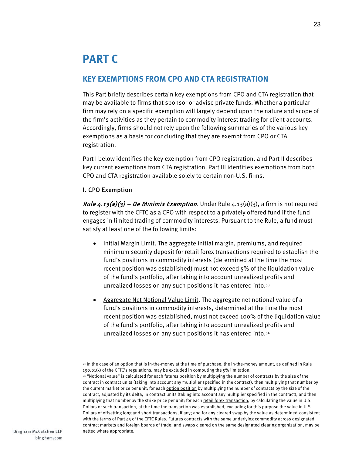## **PART C**

#### **KEY EXEMPTIONS FROM CPO AND CTA REGISTRATION**

This Part briefly describes certain key exemptions from CPO and CTA registration that may be available to firms that sponsor or advise private funds. Whether a particular firm may rely on a specific exemption will largely depend upon the nature and scope of the firm's activities as they pertain to commodity interest trading for client accounts. Accordingly, firms should not rely upon the following summaries of the various key exemptions as a basis for concluding that they are exempt from CPO or CTA registration.

Part I below identifies the key exemption from CPO registration, and Part II describes key current exemptions from CTA registration. Part III identifies exemptions from both CPO and CTA registration available solely to certain non-U.S. firms.

#### I. CPO Exemption

*Rule 4.13(a)(3) – De Minimis Exemption.* Under Rule  $4.13(a)(3)$ , a firm is not required to register with the CFTC as a CPO with respect to a privately offered fund if the fund engages in limited trading of commodity interests. Pursuant to the Rule, a fund must satisfy at least one of the following limits:

- Initial Margin Limit. The aggregate initial margin, premiums, and required minimum security deposit for retail forex transactions required to establish the fund's positions in commodity interests (determined at the time the most recent position was established) must not exceed 5% of the liquidation value of the fund's portfolio, after taking into account unrealized profits and unrealized losses on any such positions it has entered into.53
- Aggregate Net Notional Value Limit. The aggregate net notional value of a fund's positions in commodity interests, determined at the time the most recent position was established, must not exceed 100% of the liquidation value of the fund's portfolio, after taking into account unrealized profits and unrealized losses on any such positions it has entered into.54

<sup>-</sup>53 In the case of an option that is in-the-money at the time of purchase, the in-the-money amount, as defined in Rule 190.01(x) of the CFTC's regulations, may be excluded in computing the 5% limitation.

<sup>54 &</sup>quot;Notional value" is calculated for each *futures position* by multiplying the number of contracts by the size of the contract in contract units (taking into account any multiplier specified in the contract), then multiplying that number by the current market price per unit; for each option position by multiplying the number of contracts by the size of the contract, adjusted by its delta, in contract units (taking into account any multiplier specified in the contract), and then multiplying that number by the strike price per unit; for each retail forex transaction, by calculating the value in U.S. Dollars of such transaction, at the time the transaction was established, excluding for this purpose the value in U.S. Dollars of offsetting long and short transactions, if any; and for any cleared swap by the value as determined consistent with the terms of Part 45 of the CFTC Rules. Futures contracts with the same underlying commodity across designated contract markets and foreign boards of trade; and swaps cleared on the same designated clearing organization, may be netted where appropriate.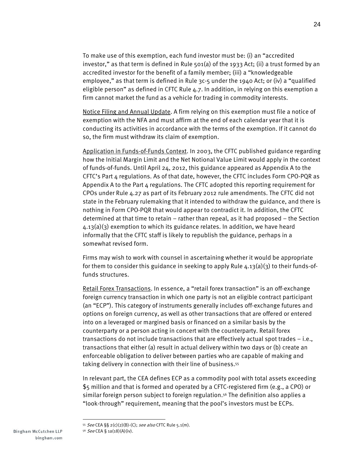To make use of this exemption, each fund investor must be: (i) an "accredited investor," as that term is defined in Rule 501(a) of the 1933 Act; (ii) a trust formed by an accredited investor for the benefit of a family member; (iii) a "knowledgeable employee," as that term is defined in Rule 3c-5 under the 1940 Act; or (iv) a "qualified eligible person" as defined in CFTC Rule 4.7. In addition, in relying on this exemption a firm cannot market the fund as a vehicle for trading in commodity interests.

Notice Filing and Annual Update. A firm relying on this exemption must file a notice of exemption with the NFA and must affirm at the end of each calendar year that it is conducting its activities in accordance with the terms of the exemption. If it cannot do so, the firm must withdraw its claim of exemption.

Application in Funds-of-Funds Context. In 2003, the CFTC published guidance regarding how the Initial Margin Limit and the Net Notional Value Limit would apply in the context of funds-of-funds. Until April 24, 2012, this guidance appeared as Appendix A to the CFTC's Part 4 regulations. As of that date, however, the CFTC includes Form CPO-PQR as Appendix A to the Part  $\mu$  regulations. The CFTC adopted this reporting requirement for CPOs under Rule 4.27 as part of its February 2012 rule amendments. The CFTC did not state in the February rulemaking that it intended to withdraw the guidance, and there is nothing in Form CPO-PQR that would appear to contradict it. In addition, the CFTC determined at that time to retain – rather than repeal, as it had proposed – the Section 4.13(a)(3) exemption to which its guidance relates. In addition, we have heard informally that the CFTC staff is likely to republish the guidance, perhaps in a somewhat revised form.

Firms may wish to work with counsel in ascertaining whether it would be appropriate for them to consider this guidance in seeking to apply Rule  $4.13(a)(3)$  to their funds-offunds structures.

Retail Forex Transactions. In essence, a "retail forex transaction" is an off-exchange foreign currency transaction in which one party is not an eligible contract participant (an "ECP"). This category of instruments generally includes off-exchange futures and options on foreign currency, as well as other transactions that are offered or entered into on a leveraged or margined basis or financed on a similar basis by the counterparty or a person acting in concert with the counterparty. Retail forex transactions do not include transactions that are effectively actual spot trades – i.e., transactions that either (a) result in actual delivery within two days or (b) create an enforceable obligation to deliver between parties who are capable of making and taking delivery in connection with their line of business.55

In relevant part, the CEA defines ECP as a commodity pool with total assets exceeding \$5 million and that is formed and operated by a CFTC-registered firm (e.g., a CPO) or similar foreign person subject to foreign regulation.<sup>56</sup> The definition also applies a "look-through" requirement, meaning that the pool's investors must be ECPs.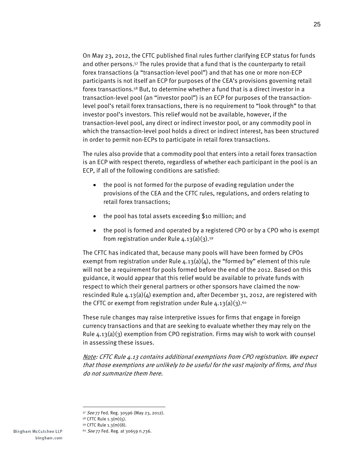On May 23, 2012, the CFTC published final rules further clarifying ECP status for funds and other persons.57 The rules provide that a fund that is the counterparty to retail forex transactions (a "transaction-level pool") and that has one or more non-ECP participants is not itself an ECP for purposes of the CEA's provisions governing retail forex transactions.58 But, to determine whether a fund that is a direct investor in a transaction-level pool (an "investor pool") is an ECP for purposes of the transactionlevel pool's retail forex transactions, there is no requirement to "look through" to that investor pool's investors. This relief would not be available, however, if the transaction-level pool, any direct or indirect investor pool, or any commodity pool in which the transaction-level pool holds a direct or indirect interest, has been structured in order to permit non-ECPs to participate in retail forex transactions.

The rules also provide that a commodity pool that enters into a retail forex transaction is an ECP with respect thereto, regardless of whether each participant in the pool is an ECP, if all of the following conditions are satisfied:

- the pool is not formed for the purpose of evading regulation under the provisions of the CEA and the CFTC rules, regulations, and orders relating to retail forex transactions;
- the pool has total assets exceeding \$10 million; and
- the pool is formed and operated by a registered CPO or by a CPO who is exempt from registration under Rule  $4.13(a)(3).59$

The CFTC has indicated that, because many pools will have been formed by CPOs exempt from registration under Rule  $4.13(a)(4)$ , the "formed by" element of this rule will not be a requirement for pools formed before the end of the 2012. Based on this guidance, it would appear that this relief would be available to private funds with respect to which their general partners or other sponsors have claimed the nowrescinded Rule  $4.13(a)(4)$  exemption and, after December 31, 2012, are registered with the CFTC or exempt from registration under Rule  $4.13(a)(3).60$ 

These rule changes may raise interpretive issues for firms that engage in foreign currency transactions and that are seeking to evaluate whether they may rely on the Rule  $4.13(a)(3)$  exemption from CPO registration. Firms may wish to work with counsel in assessing these issues.

Note: CFTC Rule 4.13 contains additional exemptions from CPO registration. We expect that those exemptions are unlikely to be useful for the vast majority of firms, and thus do not summarize them here.

<sup>57</sup> See 77 Fed. Reg. 30596 (May 23, 2012).

<sup>58</sup> CFTC Rule 1.3(m)(5).

<sup>59</sup> CFTC Rule 1.3(m)(8).

<sup>60</sup> See 77 Fed. Reg. at 30659 n.736.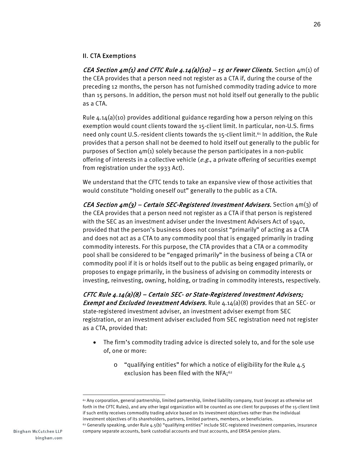#### II. CTA Exemptions

CEA Section  $\mu$ m(1) and CFTC Rule  $\mu$ .14(a)(10) – 15 or Fewer Clients. Section  $\mu$ m(1) of the CEA provides that a person need not register as a CTA if, during the course of the preceding 12 months, the person has not furnished commodity trading advice to more than 15 persons. In addition, the person must not hold itself out generally to the public as a CTA.

Rule  $4.14(a)(10)$  provides additional guidance regarding how a person relying on this exemption would count clients toward the 15-client limit. In particular, non-U.S. firms need only count U.S.-resident clients towards the 15-client limit.<sup>61</sup> In addition, the Rule provides that a person shall not be deemed to hold itself out generally to the public for purposes of Section 4m(1) solely because the person participates in a non-public offering of interests in a collective vehicle  $(e.g.,)$  a private offering of securities exempt from registration under the 1933 Act).

We understand that the CFTC tends to take an expansive view of those activities that would constitute "holding oneself out" generally to the public as a CTA.

CEA Section  $4m(3)$  – Certain SEC-Registered Investment Advisers. Section  $4m(3)$  of the CEA provides that a person need not register as a CTA if that person is registered with the SEC as an investment adviser under the Investment Advisers Act of 1940, provided that the person's business does not consist "primarily" of acting as a CTA and does not act as a CTA to any commodity pool that is engaged primarily in trading commodity interests. For this purpose, the CTA provides that a CTA or a commodity pool shall be considered to be "engaged primarily" in the business of being a CTA or commodity pool if it is or holds itself out to the public as being engaged primarily, or proposes to engage primarily, in the business of advising on commodity interests or investing, reinvesting, owning, holding, or trading in commodity interests, respectively.

CFTC Rule 4.14(a)(8) – Certain SEC- or State-Registered Investment Advisers; Exempt and Excluded Investment Advisers. Rule 4.14(a)(8) provides that an SEC- or state-registered investment adviser, an investment adviser exempt from SEC registration, or an investment adviser excluded from SEC registration need not register as a CTA, provided that:

- The firm's commodity trading advice is directed solely to, and for the sole use of, one or more:
	- o "qualifying entities" for which a notice of eligibility for the Rule 4.5 exclusion has been filed with the NFA;<sup>62</sup>

company separate accounts, bank custodial accounts and trust accounts, and ERISA pension plans.

<sup>61</sup> Any corporation, general partnership, limited partnership, limited liability company, trust (except as otherwise set forth in the CFTC Rules), and any other legal organization will be counted as one client for purposes of the 15-client limit if such entity receives commodity trading advice based on its investment objectives rather than the individual investment objectives of its shareholders, partners, limited partners, members, or beneficiaries. 62 Generally speaking, under Rule 4.5(b) "qualifying entities" include SEC-registered investment companies, insurance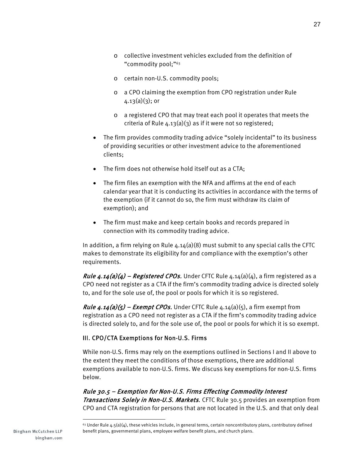- o collective investment vehicles excluded from the definition of "commodity pool;"63
- o certain non-U.S. commodity pools;
- o a CPO claiming the exemption from CPO registration under Rule  $4.13(a)(3)$ ; or
- o a registered CPO that may treat each pool it operates that meets the criteria of Rule  $4.13(a)(3)$  as if it were not so registered;
- The firm provides commodity trading advice "solely incidental" to its business of providing securities or other investment advice to the aforementioned clients;
- The firm does not otherwise hold itself out as a CTA;
- The firm files an exemption with the NFA and affirms at the end of each calendar year that it is conducting its activities in accordance with the terms of the exemption (if it cannot do so, the firm must withdraw its claim of exemption); and
- The firm must make and keep certain books and records prepared in connection with its commodity trading advice.

In addition, a firm relying on Rule  $4.14(a)(8)$  must submit to any special calls the CFTC makes to demonstrate its eligibility for and compliance with the exemption's other requirements.

*Rule 4.14(a)(4) – Registered CPOs.* Under CFTC Rule  $4.14(a)(4)$ , a firm registered as a CPO need not register as a CTA if the firm's commodity trading advice is directed solely to, and for the sole use of, the pool or pools for which it is so registered.

*Rule 4.14(a)(5) – Exempt CPOs.* Under CFTC Rule  $4.14(a)(5)$ , a firm exempt from registration as a CPO need not register as a CTA if the firm's commodity trading advice is directed solely to, and for the sole use of, the pool or pools for which it is so exempt.

#### III. CPO/CTA Exemptions for Non-U.S. Firms

While non-U.S. firms may rely on the exemptions outlined in Sections I and II above to the extent they meet the conditions of those exemptions, there are additional exemptions available to non-U.S. firms. We discuss key exemptions for non-U.S. firms below.

Rule 30.5 – Exemption for Non-U.S. Firms Effecting Commodity Interest **Transactions Solely in Non-U.S. Markets.** CFTC Rule 30.5 provides an exemption from CPO and CTA registration for persons that are not located in the U.S. and that only deal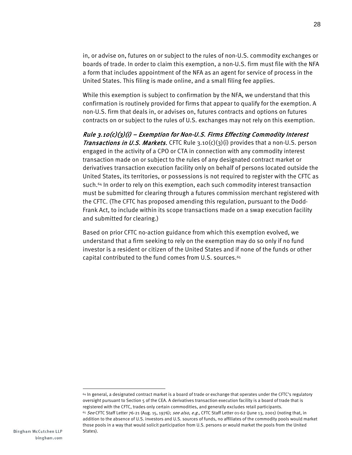in, or advise on, futures on or subject to the rules of non-U.S. commodity exchanges or boards of trade. In order to claim this exemption, a non-U.S. firm must file with the NFA a form that includes appointment of the NFA as an agent for service of process in the United States. This filing is made online, and a small filing fee applies.

While this exemption is subject to confirmation by the NFA, we understand that this confirmation is routinely provided for firms that appear to qualify for the exemption. A non-U.S. firm that deals in, or advises on, futures contracts and options on futures contracts on or subject to the rules of U.S. exchanges may not rely on this exemption.

Rule  $3.10(c)(3)(i)$  – Exemption for Non-U.S. Firms Effecting Commodity Interest *Transactions in U.S. Markets.* CFTC Rule  $3.10(c)(3)(i)$  provides that a non-U.S. person engaged in the activity of a CPO or CTA in connection with any commodity interest transaction made on or subject to the rules of any designated contract market or derivatives transaction execution facility only on behalf of persons located outside the United States, its territories, or possessions is not required to register with the CFTC as such.64 In order to rely on this exemption, each such commodity interest transaction must be submitted for clearing through a futures commission merchant registered with the CFTC. (The CFTC has proposed amending this regulation, pursuant to the Dodd-Frank Act, to include within its scope transactions made on a swap execution facility and submitted for clearing.)

Based on prior CFTC no-action guidance from which this exemption evolved, we understand that a firm seeking to rely on the exemption may do so only if no fund investor is a resident or citizen of the United States and if none of the funds or other capital contributed to the fund comes from U.S. sources.<sup>65</sup>

<sup>64</sup> In general, a designated contract market is a board of trade or exchange that operates under the CFTC's regulatory oversight pursuant to Section 5 of the CEA. A derivatives transaction execution facility is a board of trade that is registered with the CFTC, trades only certain commodities, and generally excludes retail participants. <sup>65</sup> See CFTC Staff Letter 76-21 (Aug. 15, 1976); see also, e.g., CFTC Staff Letter 01-62 (June 13, 2001) (noting that, in addition to the absence of U.S. investors and U.S. sources of funds, no affiliates of the commodity pools would market those pools in a way that would solicit participation from U.S. persons or would market the pools from the United States).